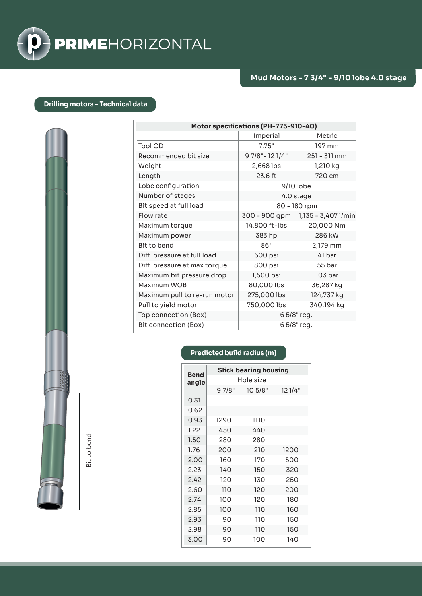

## **Drilling motors – Technical data**

| Motor specifications (PH-775-910-40) |                  |                     |  |
|--------------------------------------|------------------|---------------------|--|
|                                      | Imperial         | Metric              |  |
| Tool OD                              | 7.75"            | 197 mm              |  |
| Recommended bit size                 | 9 7/8" - 12 1/4" | 251 - 311 mm        |  |
| Weight                               | 2,668 lbs        | 1,210 kg            |  |
| Length                               | 23.6 ft          | 720 cm              |  |
| Lobe configuration                   | 9/10 lobe        |                     |  |
| Number of stages                     | 4.0 stage        |                     |  |
| Bit speed at full load               | 80 - 180 rpm     |                     |  |
| Flow rate                            | 300 - 900 gpm    | 1,135 - 3,407 l/min |  |
| Maximum torque                       | 14,800 ft-lbs    | 20,000 Nm           |  |
| Maximum power                        | 383 hp           | 286 kW              |  |
| Bit to bend                          | 86"              | 2,179 mm            |  |
| Diff. pressure at full load          | 600 psi          | 41 bar              |  |
| Diff. pressure at max torque         | 800 psi          | 55 bar              |  |
| Maximum bit pressure drop            | 1,500 psi        | 103 bar             |  |
| Maximum WOB                          | 80,000 lbs       | 36,287 kg           |  |
| Maximum pull to re-run motor         | 275,000 lbs      | 124,737 kg          |  |
| Pull to yield motor                  | 750,000 lbs      | 340,194 kg          |  |
| Top connection (Box)                 | 6 5/8" reg.      |                     |  |
| Bit connection (Box)                 | 6 5/8" reg.      |                     |  |

## **Predicted build radius (m)**

| <b>Bend</b> | <b>Slick bearing housing</b> |         |         |  |
|-------------|------------------------------|---------|---------|--|
| angle       | Hole size                    |         |         |  |
|             | 9 7/8"                       | 10 5/8" | 12 1/4" |  |
| 0.31        |                              |         |         |  |
| 0.62        |                              |         |         |  |
| 0.93        | 1290                         | 1110    |         |  |
| 1.22        | 450                          | 440     |         |  |
| 1.50        | 280                          | 280     |         |  |
| 1.76        | 200                          | 210     | 1200    |  |
| 2.00        | 160                          | 170     | 500     |  |
| 2.23        | 140                          | 150     | 320     |  |
| 2.42        | 120                          | 130     | 250     |  |
| 2.60        | 110                          | 120     | 200     |  |
| 2.74        | 100                          | 120     | 180     |  |
| 2.85        | 100                          | 110     | 160     |  |
| 2.93        | 90                           | 110     | 150     |  |
| 2.98        | 90                           | 110     | 150     |  |
| 3.00        | 90                           | 100     | 140     |  |

Bit to bend Bit to bend